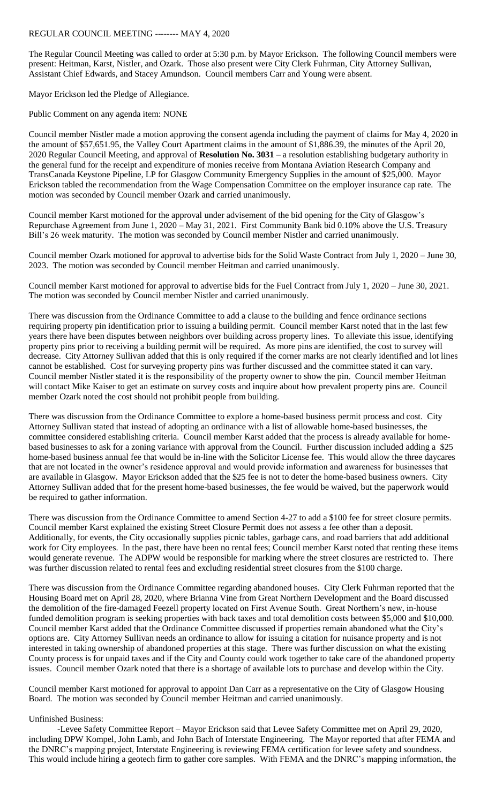## REGULAR COUNCIL MEETING -------- MAY 4, 2020

The Regular Council Meeting was called to order at 5:30 p.m. by Mayor Erickson. The following Council members were present: Heitman, Karst, Nistler, and Ozark. Those also present were City Clerk Fuhrman, City Attorney Sullivan, Assistant Chief Edwards, and Stacey Amundson. Council members Carr and Young were absent.

Mayor Erickson led the Pledge of Allegiance.

Public Comment on any agenda item: NONE

Council member Nistler made a motion approving the consent agenda including the payment of claims for May 4, 2020 in the amount of \$57,651.95, the Valley Court Apartment claims in the amount of \$1,886.39, the minutes of the April 20, 2020 Regular Council Meeting, and approval of **Resolution No. 3031** – a resolution establishing budgetary authority in the general fund for the receipt and expenditure of monies receive from Montana Aviation Research Company and TransCanada Keystone Pipeline, LP for Glasgow Community Emergency Supplies in the amount of \$25,000. Mayor Erickson tabled the recommendation from the Wage Compensation Committee on the employer insurance cap rate. The motion was seconded by Council member Ozark and carried unanimously.

Council member Karst motioned for the approval under advisement of the bid opening for the City of Glasgow's Repurchase Agreement from June 1, 2020 – May 31, 2021. First Community Bank bid 0.10% above the U.S. Treasury Bill's 26 week maturity. The motion was seconded by Council member Nistler and carried unanimously.

Council member Ozark motioned for approval to advertise bids for the Solid Waste Contract from July 1, 2020 – June 30, 2023. The motion was seconded by Council member Heitman and carried unanimously.

Council member Karst motioned for approval to advertise bids for the Fuel Contract from July 1, 2020 – June 30, 2021. The motion was seconded by Council member Nistler and carried unanimously.

There was discussion from the Ordinance Committee to add a clause to the building and fence ordinance sections requiring property pin identification prior to issuing a building permit. Council member Karst noted that in the last few years there have been disputes between neighbors over building across property lines. To alleviate this issue, identifying property pins prior to receiving a building permit will be required. As more pins are identified, the cost to survey will decrease. City Attorney Sullivan added that this is only required if the corner marks are not clearly identified and lot lines cannot be established. Cost for surveying property pins was further discussed and the committee stated it can vary. Council member Nistler stated it is the responsibility of the property owner to show the pin. Council member Heitman will contact Mike Kaiser to get an estimate on survey costs and inquire about how prevalent property pins are. Council member Ozark noted the cost should not prohibit people from building.

There was discussion from the Ordinance Committee to explore a home-based business permit process and cost. City Attorney Sullivan stated that instead of adopting an ordinance with a list of allowable home-based businesses, the committee considered establishing criteria. Council member Karst added that the process is already available for homebased businesses to ask for a zoning variance with approval from the Council. Further discussion included adding a \$25 home-based business annual fee that would be in-line with the Solicitor License fee. This would allow the three daycares that are not located in the owner's residence approval and would provide information and awareness for businesses that are available in Glasgow. Mayor Erickson added that the \$25 fee is not to deter the home-based business owners. City Attorney Sullivan added that for the present home-based businesses, the fee would be waived, but the paperwork would be required to gather information.

There was discussion from the Ordinance Committee to amend Section 4-27 to add a \$100 fee for street closure permits. Council member Karst explained the existing Street Closure Permit does not assess a fee other than a deposit. Additionally, for events, the City occasionally supplies picnic tables, garbage cans, and road barriers that add additional work for City employees. In the past, there have been no rental fees; Council member Karst noted that renting these items would generate revenue. The ADPW would be responsible for marking where the street closures are restricted to. There was further discussion related to rental fees and excluding residential street closures from the \$100 charge.

There was discussion from the Ordinance Committee regarding abandoned houses. City Clerk Fuhrman reported that the Housing Board met on April 28, 2020, where Brianna Vine from Great Northern Development and the Board discussed the demolition of the fire-damaged Feezell property located on First Avenue South. Great Northern's new, in-house funded demolition program is seeking properties with back taxes and total demolition costs between \$5,000 and \$10,000. Council member Karst added that the Ordinance Committee discussed if properties remain abandoned what the City's options are. City Attorney Sullivan needs an ordinance to allow for issuing a citation for nuisance property and is not interested in taking ownership of abandoned properties at this stage. There was further discussion on what the existing County process is for unpaid taxes and if the City and County could work together to take care of the abandoned property issues. Council member Ozark noted that there is a shortage of available lots to purchase and develop within the City.

Council member Karst motioned for approval to appoint Dan Carr as a representative on the City of Glasgow Housing Board. The motion was seconded by Council member Heitman and carried unanimously.

## Unfinished Business:

-Levee Safety Committee Report – Mayor Erickson said that Levee Safety Committee met on April 29, 2020, including DPW Kompel, John Lamb, and John Bach of Interstate Engineering. The Mayor reported that after FEMA and the DNRC's mapping project, Interstate Engineering is reviewing FEMA certification for levee safety and soundness. This would include hiring a geotech firm to gather core samples. With FEMA and the DNRC's mapping information, the